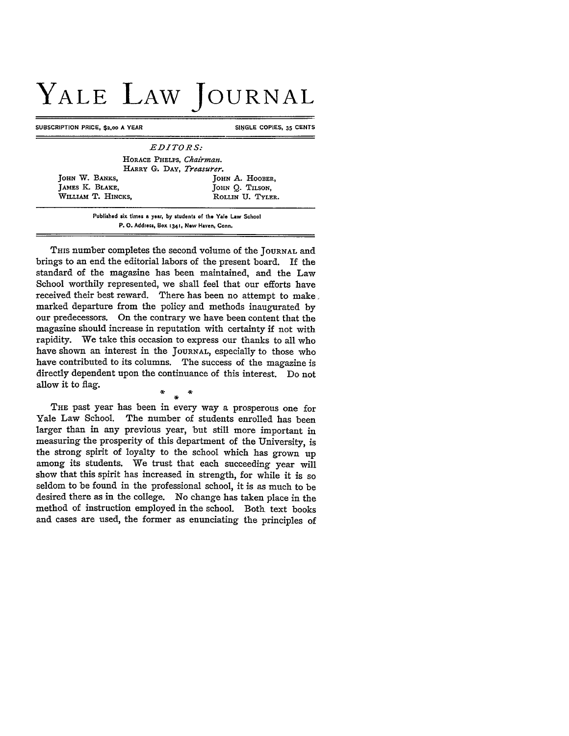## **YALE LAW JOURNAL**

SUBSCRIPTION PRICE, \$2.00 A YEAR SINGLE COPIES, 35 CENTS

*EDITORS:* HORACE PHELPS, *Chairman.* HARRY G. DAY, Treasurer. **JOHN W. BANKS, A. HOOBER, JOHN A. HOOBER, JOHN O. TILSON.** JOHN Q. TILSON, WILLIAM T. HINCKS, ROLLIN U. TYLER.

> **Published six times a year, by students of the Yale Law School P. O. Address. Box 1341, New Haven, Conn.**

THIS number completes the second volume of the **JOURNAL** and brings to an end the editorial labors of the present board. If the standard of the magazine has been maintained, and the Law School worthily represented, we shall feel that our efforts have received their best reward. There has been no attempt to make. marked departure from the policy and methods inaugurated **by** our predecessors. On the contrary we have been content that the magazine should increase in reputation with certainty if not with rapidity. We take this occasion to express our thanks to all who have shown an interest in the **JOURNAL,** especially to those who have contributed to its columns. The success of the magazine is directly dependent upon the continuance of this interest. Do not allow it to flag.

THE past year has been in every way a prosperous one for Yale Law School. The number of students enrolled has been larger than in any previous year, but still more important in measuring the prosperity of this department of the University, is the strong spirit of loyalty to the school which has grown up among its students. We trust that each succeeding year will show that this spirit has increased in strength, for while it is so seldom to be found in the professional school, it is as much to be desired there as in the college. No change has taken place in the method of instruction employed in the school. Both text books and cases are used, the former as enunciating the principles of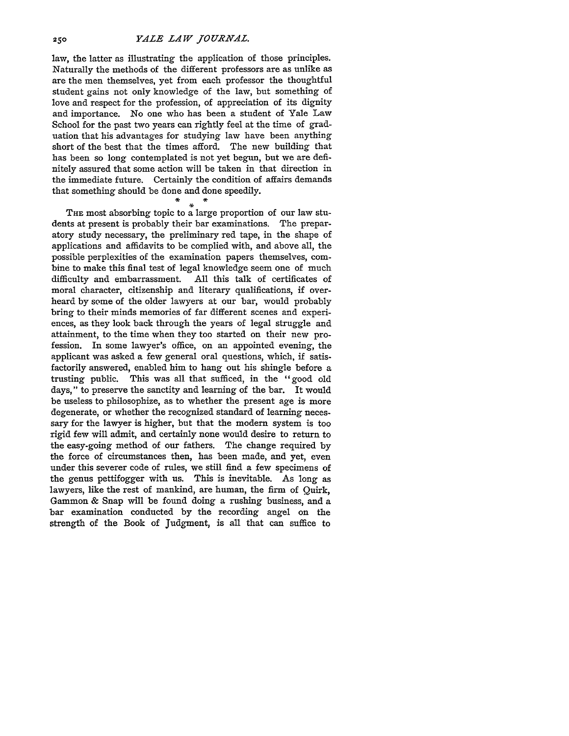law, the latter as illustrating the application of those principles. Naturally the methods of the different professors are as unlike as are the men themselves, yet from each professor the thoughtful student gains not only knowledge of the law, but something of love and respect for the profession, of appreciation of its dignity and importance. No one who has been a student of Yale Law School for the past two years can rightly feel at the time of graduation that his advantages for studying law have been anything short of the best that the times afford. The new building that has been so long contemplated is not yet begun, but we are definitely assured that some action will be taken in that direction in the immediate future. Certainly the condition of affairs demands that something should be done and done speedily.

THE most absorbing topic to a large proportion of our law students at present is probably their bar examinations. The preparatory study necessary, the preliminary red tape, in the shape of applications and affidavits to be complied with, and above all, the possible perplexities of the examination papers themselves, combine to make this final test of legal knowledge seem one of much difficulty and embarrassment. All this talk of certificates of moral character, citizenship and literary qualifications, if overheard by some of the older lawyers at our bar, would probably bring to their minds memories of far different scenes and experiences, as they look back through the years of legal struggle and attainment, to the time when they too started on their new profession. In some lawyer's office, on an appointed evening, the applicant was asked a few general oral questions, which, if satisfactorily answered, enabled him to hang out his shingle before a trusting public. This was all that sufficed, in the "good old days," to preserve the sanctity and learning of the bar. It would be useless to philosophize, as to whether the present age is more degenerate, or whether the recognized standard of learning necessary for the lawyer is higher, but that the modern system is too rigid few will admit, and certainly none would desire to return to the easy-going method of our fathers. The change required by the force of circumstances then, has been made, and yet, even under this severer code of rules, we still find a few specimens of the genus pettifogger with us. This is inevitable. As long as lawyers, like the rest of mankind, are human, the firm of Quirk, Gammon & Snap will be found doing a rushing business, and a bar examination conducted by the recording angel on the strength of the Book of Judgment, is all that can suffice to